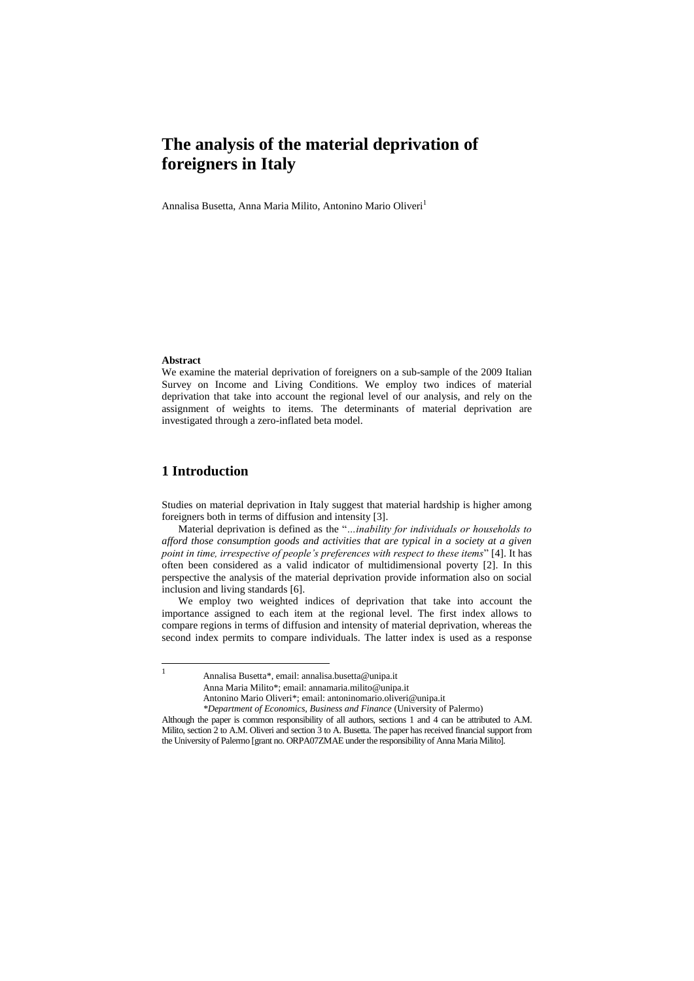# **The analysis of the material deprivation of foreigners in Italy**

Annalisa Busetta, Anna Maria Milito, Antonino Mario Oliveri<sup>1</sup>

#### **Abstract**

We examine the material deprivation of foreigners on a sub-sample of the 2009 Italian Survey on Income and Living Conditions. We employ two indices of material deprivation that take into account the regional level of our analysis, and rely on the assignment of weights to items. The determinants of material deprivation are investigated through a zero-inflated beta model.

## **1 Introduction**

Studies on material deprivation in Italy suggest that material hardship is higher among foreigners both in terms of diffusion and intensity [3].

Material deprivation is defined as the "*…inability for individuals or households to afford those consumption goods and activities that are typical in a society at a given point in time, irrespective of people's preferences with respect to these items*" [4]. It has often been considered as a valid indicator of multidimensional poverty [2]. In this perspective the analysis of the material deprivation provide information also on social inclusion and living standards [6].

We employ two weighted indices of deprivation that take into account the importance assigned to each item at the regional level. The first index allows to compare regions in terms of diffusion and intensity of material deprivation, whereas the second index permits to compare individuals. The latter index is used as a response

Annalisa Busetta\*, email: annalisa.busetta@unipa.it

Anna Maria Milito\*; email: annamaria.milito@unipa.it

Antonino Mario Oliveri\*; email: antoninomario.oliveri@unipa.it

*<sup>\*</sup>Department of Economics, Business and Finance* (University of Palermo)

Although the paper is common responsibility of all authors, sections 1 and 4 can be attributed to A.M. Milito, section 2 to A.M. Oliveri and section 3 to A. Busetta. The paper has received financial support from the University of Palermo [grant no. ORPA07ZMAE under the responsibility of Anna Maria Milito].

 $\frac{1}{1}$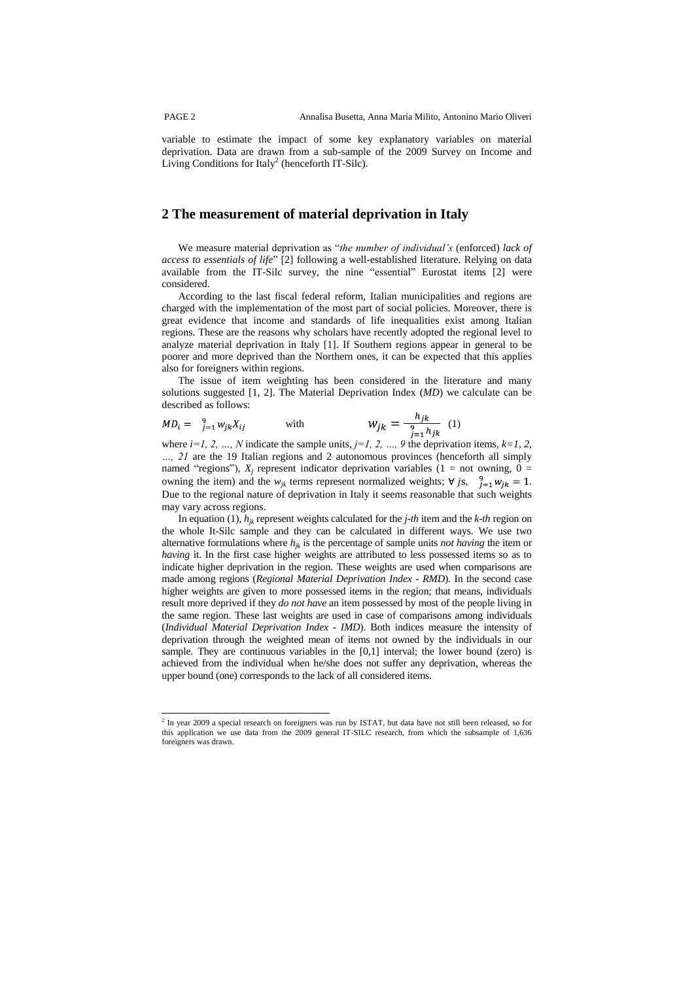variable to estimate the impact of some key explanatory variables on material deprivation. Data are drawn from a sub-sample of the 2009 Survey on Income and Living Conditions for Italy<sup>2</sup> (henceforth IT-Silc).

### **2 The measurement of material deprivation in Italy**

We measure material deprivation as "*the number of individual's* (enforced) *lack of access to essentials of life*" [2] following a well-established literature. Relying on data available from the IT-Silc survey, the nine "essential" Eurostat items [2] were considered.

According to the last fiscal federal reform, Italian municipalities and regions are charged with the implementation of the most part of social policies. Moreover, there is great evidence that income and standards of life inequalities exist among Italian regions. These are the reasons why scholars have recently adopted the regional level to analyze material deprivation in Italy [1]. If Southern regions appear in general to be poorer and more deprived than the Northern ones, it can be expected that this applies also for foreigners within regions.

The issue of item weighting has been considered in the literature and many solutions suggested [1, 2]. The Material Deprivation Index (*MD*) we calculate can be described as follows:  $h$ .

$$
MD_i = \frac{9}{j=1} w_{jk} X_{ij} \qquad \text{with} \qquad \qquad W_{jk} = \frac{n_{jk}}{1 - \frac{1}{2} h_{ik}} \quad (1)
$$

where  $i=1, 2, ..., N$  indicate the sample units,  $j=1, 2, ..., 9$  the deprivation items,  $k=1, 2, ...$ *…, 21* are the 19 Italian regions and 2 autonomous provinces (henceforth all simply named "regions"),  $X_j$  represent indicator deprivation variables (1 = not owning, 0 = owning the item) and the  $w_{jk}$  terms represent normalized weights;  $\forall j s, \frac{9}{j=1} w_{jk} = 1$ . Due to the regional nature of deprivation in Italy it seems reasonable that such weights may vary across regions.

In equation (1), *hjk* represent weights calculated for the *j-th* item and the *k-th* region on the whole It-Silc sample and they can be calculated in different ways. We use two alternative formulations where  $h_{jk}$  is the percentage of sample units *not having* the item or *having* it. In the first case higher weights are attributed to less possessed items so as to indicate higher deprivation in the region. These weights are used when comparisons are made among regions (*Regional Material Deprivation Index* - *RMD*). In the second case higher weights are given to more possessed items in the region; that means, individuals result more deprived if they *do not have* an item possessed by most of the people living in the same region. These last weights are used in case of comparisons among individuals (*Individual Material Deprivation Index* - *IMD*). Both indices measure the intensity of deprivation through the weighted mean of items not owned by the individuals in our sample. They are continuous variables in the [0,1] interval; the lower bound (zero) is achieved from the individual when he/she does not suffer any deprivation, whereas the upper bound (one) corresponds to the lack of all considered items.

 2 In year 2009 a special research on foreigners was run by ISTAT, but data have not still been released, so for this application we use data from the 2009 general IT-SILC research, from which the subsample of 1,636 foreigners was drawn.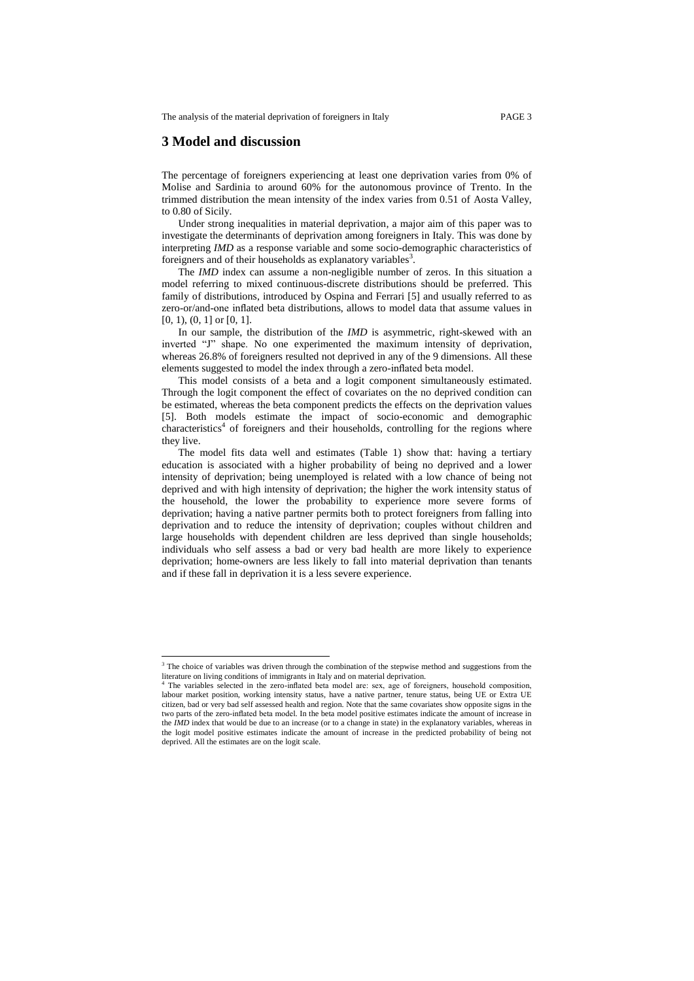The analysis of the material deprivation of foreigners in Italy PAGE 3

### **3 Model and discussion**

1

The percentage of foreigners experiencing at least one deprivation varies from 0% of Molise and Sardinia to around 60% for the autonomous province of Trento. In the trimmed distribution the mean intensity of the index varies from 0.51 of Aosta Valley, to 0.80 of Sicily.

Under strong inequalities in material deprivation, a major aim of this paper was to investigate the determinants of deprivation among foreigners in Italy. This was done by interpreting *IMD* as a response variable and some socio-demographic characteristics of foreigners and of their households as explanatory variables<sup>3</sup>.

The *IMD* index can assume a non-negligible number of zeros. In this situation a model referring to mixed continuous-discrete distributions should be preferred. This family of distributions, introduced by Ospina and Ferrari [5] and usually referred to as zero-or/and-one inflated beta distributions, allows to model data that assume values in [0, 1], (0, 1] or [0, 1].

In our sample, the distribution of the *IMD* is asymmetric, right-skewed with an inverted "J" shape. No one experimented the maximum intensity of deprivation, whereas 26.8% of foreigners resulted not deprived in any of the 9 dimensions. All these elements suggested to model the index through a zero-inflated beta model.

This model consists of a beta and a logit component simultaneously estimated. Through the logit component the effect of covariates on the no deprived condition can be estimated, whereas the beta component predicts the effects on the deprivation values [5]. Both models estimate the impact of socio-economic and demographic characteristics<sup>4</sup> of foreigners and their households, controlling for the regions where they live.

The model fits data well and estimates (Table 1) show that: having a tertiary education is associated with a higher probability of being no deprived and a lower intensity of deprivation; being unemployed is related with a low chance of being not deprived and with high intensity of deprivation; the higher the work intensity status of the household, the lower the probability to experience more severe forms of deprivation; having a native partner permits both to protect foreigners from falling into deprivation and to reduce the intensity of deprivation; couples without children and large households with dependent children are less deprived than single households; individuals who self assess a bad or very bad health are more likely to experience deprivation; home-owners are less likely to fall into material deprivation than tenants and if these fall in deprivation it is a less severe experience.

<sup>&</sup>lt;sup>3</sup> The choice of variables was driven through the combination of the stepwise method and suggestions from the literature on living conditions of immigrants in Italy and on material deprivation.<br><sup>4</sup> The variables selected in the zero-inflated beta model are: sex, age of foreigners, household composition,

labour market position, working intensity status, have a native partner, tenure status, being UE or Extra UE citizen, bad or very bad self assessed health and region. Note that the same covariates show opposite signs in the two parts of the zero-inflated beta model. In the beta model positive estimates indicate the amount of increase in the *IMD* index that would be due to an increase (or to a change in state) in the explanatory variables, whereas in the logit model positive estimates indicate the amount of increase in the predicted probability of being not deprived. All the estimates are on the logit scale.